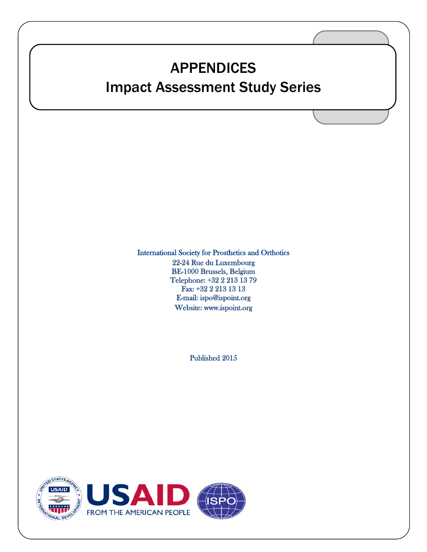# APPENDICES

### Impact Assessment Study Series

International Society for Prosthetics and Orthotics 22-24 Rue du Luxembourg BE-1000 Brussels, Belgium Telephone: +32 2 213 13 79 Fax: +32 2 213 13 13 E-mail: [ispo@ispoint.org](mailto:ispo@ispoint.org)  Website: [www.ispoint.org](http://www.ispoint.org/) 

Published 2015

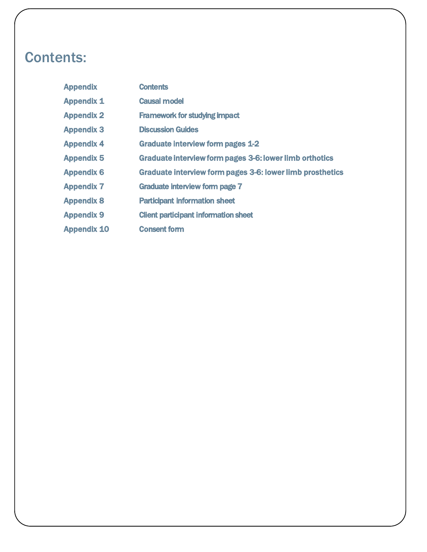# Contents:

| <b>Appendix</b>    | <b>Contents</b>                                           |
|--------------------|-----------------------------------------------------------|
| <b>Appendix 1</b>  | <b>Causal model</b>                                       |
| <b>Appendix 2</b>  | <b>Framework for studying impact</b>                      |
| <b>Appendix 3</b>  | <b>Discussion Guides</b>                                  |
| <b>Appendix 4</b>  | <b>Graduate interview form pages 1-2</b>                  |
| <b>Appendix 5</b>  | Graduate interview form pages 3-6: lower limb orthotics   |
| <b>Appendix 6</b>  | Graduate interview form pages 3-6: lower limb prosthetics |
| <b>Appendix 7</b>  | Graduate interview form page 7                            |
| <b>Appendix 8</b>  | <b>Participant information sheet</b>                      |
| <b>Appendix 9</b>  | <b>Client participant information sheet</b>               |
| <b>Appendix 10</b> | <b>Consent form</b>                                       |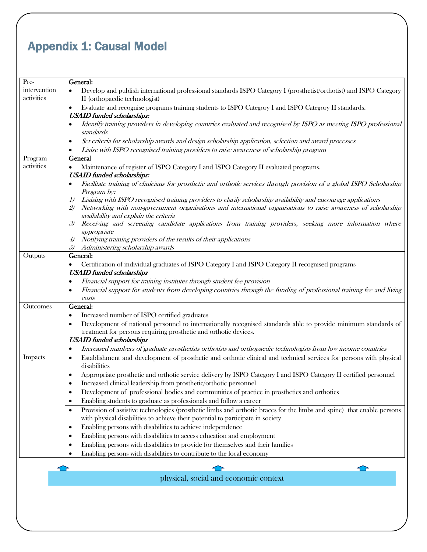# Appendix 1: Causal Model

| Pre-         | General:                                                                                                                                                                                                                                      |
|--------------|-----------------------------------------------------------------------------------------------------------------------------------------------------------------------------------------------------------------------------------------------|
| intervention | Develop and publish international professional standards ISPO Category I (prosthetist/orthotist) and ISPO Category                                                                                                                            |
| activities   | II (orthopaedic technologist)                                                                                                                                                                                                                 |
|              | Evaluate and recognise programs training students to ISPO Category I and ISPO Category II standards.<br>$\bullet$<br><b>USAID</b> funded scholarships:                                                                                        |
|              | Identify training providers in developing countries evaluated and recognised by ISPO as meeting ISPO professional<br>٠<br>standards                                                                                                           |
|              | Set criteria for scholarship awards and design scholarship application, selection and award processes<br>٠                                                                                                                                    |
|              | Liaise with ISPO recognised training providers to raise awareness of scholarship program                                                                                                                                                      |
| Program      | General                                                                                                                                                                                                                                       |
| activities   | Maintenance of register of ISPO Category I and ISPO Category II evaluated programs.<br>$\bullet$<br><b>USAID</b> funded scholarships:                                                                                                         |
|              | Facilitate training of clinicians for prosthetic and orthotic services through provision of a global ISPO Scholarship<br>٠<br>Program by:                                                                                                     |
|              | Liaising with ISPO recognised training providers to clarify scholarship availability and encourage applications<br>I)<br>Networking with non-government organisations and international organisations to raise awareness of scholarship<br>2) |
|              | availability and explain the criteria                                                                                                                                                                                                         |
|              | Receiving and screening candidate applications from training providers, seeking more information where<br>3)<br>appropriate                                                                                                                   |
|              | Notifying training providers of the results of their applications<br>4)                                                                                                                                                                       |
|              | Administering scholarship awards<br>5)                                                                                                                                                                                                        |
| Outputs      | General:                                                                                                                                                                                                                                      |
|              | Certification of individual graduates of ISPO Category I and ISPO Category II recognised programs                                                                                                                                             |
|              | <b>USAID</b> funded scholarships                                                                                                                                                                                                              |
|              | Financial support for training institutes through student fee provision<br>$\bullet$                                                                                                                                                          |
|              | Financial support for students from developing countries through the funding of professional training fee and living<br>$\bullet$                                                                                                             |
|              | costs                                                                                                                                                                                                                                         |
| Outcomes     | General:                                                                                                                                                                                                                                      |
|              | Increased number of ISPO certified graduates<br>$\bullet$                                                                                                                                                                                     |
|              | Development of national personnel to internationally recognised standards able to provide minimum standards of<br>$\bullet$                                                                                                                   |
|              | treatment for persons requiring prosthetic and orthotic devices.                                                                                                                                                                              |
|              | <b>USAID</b> funded scholarships                                                                                                                                                                                                              |
|              | Increased numbers of graduate prosthetists orthotists and orthopaedic technologists from low income countries                                                                                                                                 |
| Impacts      | Establishment and development of prosthetic and orthotic clinical and technical services for persons with physical<br>$\bullet$<br>disabilities                                                                                               |
|              | Appropriate prosthetic and orthotic service delivery by ISPO Category I and ISPO Category II certified personnel                                                                                                                              |
|              | Increased clinical leadership from prosthetic/orthotic personnel                                                                                                                                                                              |
|              | Development of professional bodies and communities of practice in prosthetics and orthotics<br>$\bullet$                                                                                                                                      |
|              | Enabling students to graduate as professionals and follow a career<br>٠                                                                                                                                                                       |
|              | Provision of assistive technologies (prosthetic limbs and orthotic braces for the limbs and spine) that enable persons<br>$\bullet$                                                                                                           |
|              | with physical disabilities to achieve their potential to participate in society                                                                                                                                                               |
|              | Enabling persons with disabilities to achieve independence<br>$\bullet$                                                                                                                                                                       |
|              | Enabling persons with disabilities to access education and employment<br>٠                                                                                                                                                                    |
|              | Enabling persons with disabilities to provide for themselves and their families<br>٠                                                                                                                                                          |
|              | Enabling persons with disabilities to contribute to the local economy                                                                                                                                                                         |
|              |                                                                                                                                                                                                                                               |
|              |                                                                                                                                                                                                                                               |
|              | physical social and economic context                                                                                                                                                                                                          |

physical, social and economic context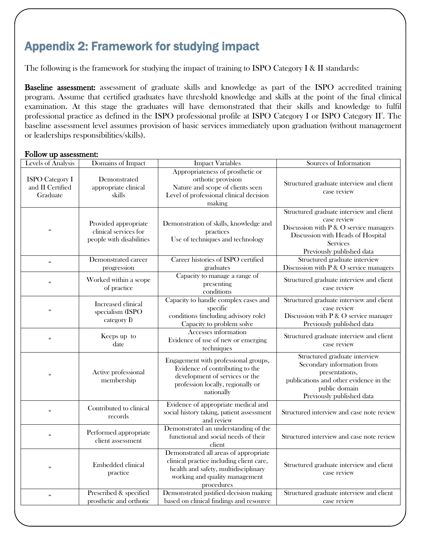### Appendix 2: Framework for studying impact

The following is the framework for studying the impact of training to ISPO Category I & II standards:

Baseline assessment: assessment of graduate skills and knowledge as part of the ISPO accredited training program. Assume that certified graduates have threshold knowledge and skills at the point of the final clinical examination. At this stage the graduates will have demonstrated that their skills and knowledge to fulfil professional practice as defined in the ISPO professional profile at ISPO Category I or ISPO Category  $II^3$ . The baseline assessment level assumes provision of basic services immediately upon graduation (without management or leaderships responsibilities/skills).

#### Follow up assessment:

| Levels of Analysis                                     | Domains of Impact                                                         | <b>Impact Variables</b>                                                                                                                                                   | Sources of Information                                                                                                                                                                 |  |
|--------------------------------------------------------|---------------------------------------------------------------------------|---------------------------------------------------------------------------------------------------------------------------------------------------------------------------|----------------------------------------------------------------------------------------------------------------------------------------------------------------------------------------|--|
| <b>ISPO</b> Category I<br>and II Certified<br>Graduate | Demonstrated<br>appropriate clinical<br>skills                            | Appropriateness of prosthetic or<br>orthotic provision<br>Nature and scope of clients seen<br>Level of professional clinical decision<br>making                           | Structured graduate interview and client<br>case review                                                                                                                                |  |
| $\epsilon\epsilon$                                     | Provided appropriate<br>clinical services for<br>people with disabilities | Demonstration of skills, knowledge and<br>practices<br>Use of techniques and technology                                                                                   | Structured graduate interview and client<br>case review<br>Discussion with P & O service managers<br>Discussion with Heads of Hospital<br><b>Services</b><br>Previously published data |  |
| $\epsilon\epsilon$                                     | Demonstrated career<br>progression                                        | Career histories of ISPO certified<br>graduates                                                                                                                           | Structured graduate interview<br>Discussion with P & O service managers                                                                                                                |  |
| $\varsigma\varsigma$                                   | Worked within a scope<br>of practice                                      | Capacity to manage a range of<br>presenting<br>conditions                                                                                                                 | Structured graduate interview and client<br>case review                                                                                                                                |  |
| $\epsilon$                                             | Increased clinical<br>specialism (ISPO<br>category I)                     | Capacity to handle complex cases and<br>specific<br>conditions (including advisory role)<br>Capacity to problem solve                                                     | Structured graduate interview and client<br>case review<br>Discussion with $P \& O$ service manager<br>Previously published data                                                       |  |
| $\mathfrak{c}\mathfrak{c}$                             | Keeps up to<br>date                                                       | Accesses information<br>Evidence of use of new or emerging<br>techniques                                                                                                  | Structured graduate interview and client<br>case review                                                                                                                                |  |
| $\zeta\zeta$                                           | Active professional<br>membership                                         | Engagement with professional groups,<br>Evidence of contributing to the<br>development of services or the<br>profession locally, regionally or<br>nationally              | Structured graduate interview<br>Secondary information from<br>presentations,<br>publications and other evidence in the<br>public domain<br>Previously published data                  |  |
| $\epsilon\epsilon$                                     | Contributed to clinical<br>records                                        | Evidence of appropriate medical and<br>social history taking, patient assessment<br>and review                                                                            | Structured interview and case note review                                                                                                                                              |  |
| $\epsilon\epsilon$                                     | Performed appropriate<br>client assessment                                | Demonstrated an understanding of the<br>functional and social needs of their<br>client                                                                                    | Structured interview and case note review                                                                                                                                              |  |
| $\epsilon\epsilon$                                     | Embedded clinical<br>practice                                             | Demonstrated all areas of appropriate<br>clinical practice including client care,<br>health and safety, multidisciplinary<br>working and quality management<br>procedures | Structured graduate interview and client<br>case review                                                                                                                                |  |
| $\epsilon\epsilon$                                     | Prescribed & specified<br>prosthetic and orthotic                         | Demonstrated justified decision making<br>based on clinical findings and resource                                                                                         | Structured graduate interview and client<br>case review                                                                                                                                |  |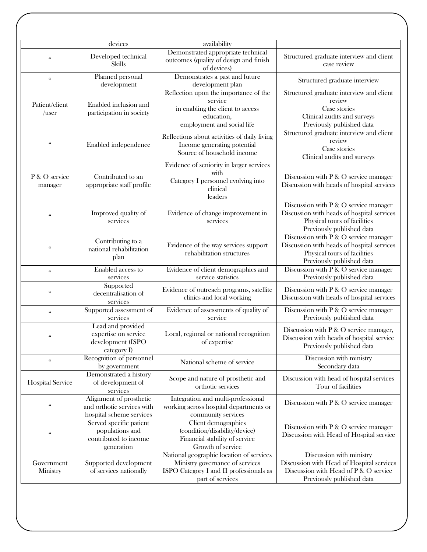|                                 | devices                                                                           | availability                                                                                                                               |                                                                                                                                                     |
|---------------------------------|-----------------------------------------------------------------------------------|--------------------------------------------------------------------------------------------------------------------------------------------|-----------------------------------------------------------------------------------------------------------------------------------------------------|
| $\zeta\zeta$                    | Developed technical<br>Skills                                                     | Demonstrated appropriate technical<br>outcomes (quality of design and finish<br>of devices)                                                | Structured graduate interview and client<br>case review                                                                                             |
| $\mathfrak{c}\mathfrak{c}$      | Planned personal<br>development                                                   | Demonstrates a past and future<br>development plan                                                                                         | Structured graduate interview                                                                                                                       |
| Patient/client<br>$\sqrt{user}$ | Enabled inclusion and<br>participation in society                                 | Reflection upon the importance of the<br>service<br>in enabling the client to access<br>education,<br>employment and social life           | Structured graduate interview and client<br>review<br>Case stories<br>Clinical audits and surveys<br>Previously published data                      |
| $\zeta\zeta$                    | Enabled independence                                                              | Reflections about activities of daily living<br>Income generating potential<br>Source of household income                                  | Structured graduate interview and client<br>review<br>Case stories<br>Clinical audits and surveys                                                   |
| P & O service<br>manager        | Contributed to an<br>appropriate staff profile                                    | Evidence of seniority in larger services<br>with<br>Category I personnel evolving into<br>clinical<br>leaders                              | Discussion with P & O service manager<br>Discussion with heads of hospital services                                                                 |
| $\zeta\zeta$                    | Improved quality of<br>services                                                   | Evidence of change improvement in<br>services                                                                                              | Discussion with P & O service manager<br>Discussion with heads of hospital services<br>Physical tours of facilities<br>Previously published data    |
| $\varsigma\varsigma$            | Contributing to a<br>national rehabilitation<br>plan                              | Evidence of the way services support<br>rehabilitation structures                                                                          | Discussion with $P \& O$ service manager<br>Discussion with heads of hospital services<br>Physical tours of facilities<br>Previously published data |
| $\epsilon\epsilon$              | Enabled access to<br>services                                                     | Evidence of client demographics and<br>service statistics                                                                                  | Discussion with $P \& O$ service manager<br>Previously published data                                                                               |
| $\mathfrak{c}\mathfrak{c}$      | Supported<br>decentralisation of<br>services                                      | Evidence of outreach programs, satellite<br>clinics and local working                                                                      | Discussion with $P \& O$ service manager<br>Discussion with heads of hospital services                                                              |
| $\mathfrak{c}\mathfrak{c}$      | Supported assessment of<br>services                                               | Evidence of assessments of quality of<br>service                                                                                           | Discussion with P & O service manager<br>Previously published data                                                                                  |
|                                 | Lead and provided<br>expertise on service<br>development (ISPO<br>category I)     | Local, regional or national recognition<br>of expertise                                                                                    | Discussion with $P \& O$ service manager,<br>Discussion with heads of hospital service<br>Previously published data                                 |
| $\zeta\zeta$                    | Recognition of personnel<br>by government                                         | National scheme of service                                                                                                                 | Discussion with ministry<br>Secondary data                                                                                                          |
| <b>Hospital Service</b>         | Demonstrated a history<br>of development of<br>services                           | Scope and nature of prosthetic and<br>orthotic services                                                                                    | Discussion with head of hospital services<br>Tour of facilities                                                                                     |
| $\epsilon$                      | Alignment of prosthetic<br>and orthotic services with<br>hospital scheme services | Integration and multi-professional<br>working across hospital departments or<br>community services                                         | Discussion with P & O service manager                                                                                                               |
| $\varsigma\varsigma$            | Served specific patient<br>populations and<br>contributed to income<br>generation | Client demographics<br>(condition/disability/device)<br>Financial stability of service<br>Growth of service                                | Discussion with $P \& O$ service manager<br>Discussion with Head of Hospital service                                                                |
| Government<br>Ministry          | Supported development<br>of services nationally                                   | National geographic location of services<br>Ministry governance of services<br>ISPO Category I and II professionals as<br>part of services | Discussion with ministry<br>Discussion with Head of Hospital services<br>Discussion with Head of P & O service<br>Previously published data         |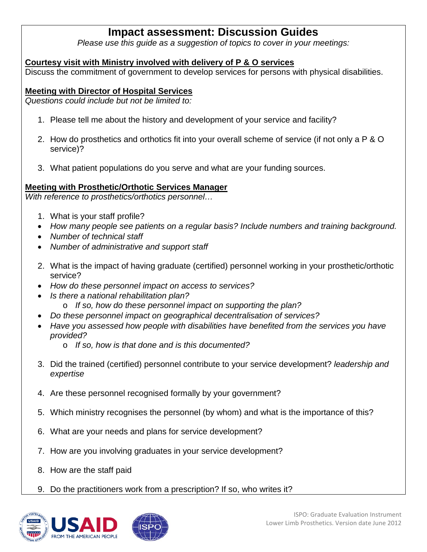### **Impact assessment: Discussion Guides**

*Please use this guide as a suggestion of topics to cover in your meetings:*

#### **Courtesy visit with Ministry involved with delivery of P & O services**

Discuss the commitment of government to develop services for persons with physical disabilities.

#### **Meeting with Director of Hospital Services**

*Questions could include but not be limited to:*

- 1. Please tell me about the history and development of your service and facility?
- 2. How do prosthetics and orthotics fit into your overall scheme of service (if not only a P & O service)?
- 3. What patient populations do you serve and what are your funding sources.

#### **Meeting with Prosthetic/Orthotic Services Manager**

*With reference to prosthetics/orthotics personnel…*

- 1. What is your staff profile?
- *How many people see patients on a regular basis? Include numbers and training background.*
- *Number of technical staff*
- *Number of administrative and support staff*
- 2. What is the impact of having graduate (certified) personnel working in your prosthetic/orthotic service?
- *How do these personnel impact on access to services?*
- *Is there a national rehabilitation plan?*
	- o *If so, how do these personnel impact on supporting the plan?*
- *Do these personnel impact on geographical decentralisation of services?*
- *Have you assessed how people with disabilities have benefited from the services you have provided?*
	- o *If so, how is that done and is this documented?*
- 3. Did the trained (certified) personnel contribute to your service development? *leadership and expertise*
- 4. Are these personnel recognised formally by your government?
- 5. Which ministry recognises the personnel (by whom) and what is the importance of this?
- 6. What are your needs and plans for service development?
- 7. How are you involving graduates in your service development?
- 8. How are the staff paid
- 9. Do the practitioners work from a prescription? If so, who writes it?

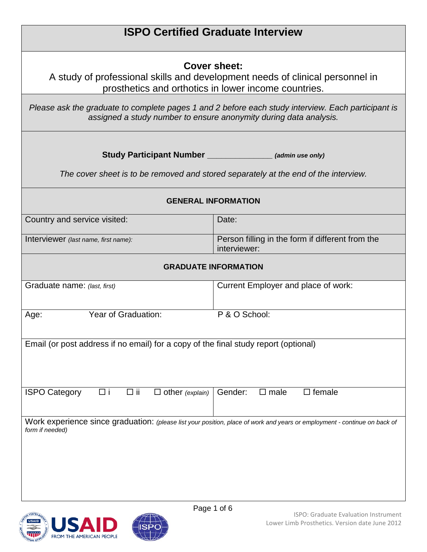|                                                                                                                                                                         | <b>ISPO Certified Graduate Interview</b>                                                                                                              |  |  |  |
|-------------------------------------------------------------------------------------------------------------------------------------------------------------------------|-------------------------------------------------------------------------------------------------------------------------------------------------------|--|--|--|
|                                                                                                                                                                         | Cover sheet:<br>A study of professional skills and development needs of clinical personnel in<br>prosthetics and orthotics in lower income countries. |  |  |  |
| Please ask the graduate to complete pages 1 and 2 before each study interview. Each participant is<br>assigned a study number to ensure anonymity during data analysis. |                                                                                                                                                       |  |  |  |
|                                                                                                                                                                         | Study Participant Number ________________ (admin use only)<br>The cover sheet is to be removed and stored separately at the end of the interview.     |  |  |  |
|                                                                                                                                                                         | <b>GENERAL INFORMATION</b>                                                                                                                            |  |  |  |
| Country and service visited:                                                                                                                                            | Date:                                                                                                                                                 |  |  |  |
| Interviewer (last name, first name):                                                                                                                                    | Person filling in the form if different from the<br>interviewer:                                                                                      |  |  |  |
|                                                                                                                                                                         | <b>GRADUATE INFORMATION</b>                                                                                                                           |  |  |  |
| Graduate name: (last, first)                                                                                                                                            | Current Employer and place of work:                                                                                                                   |  |  |  |
| Year of Graduation:<br>Age:                                                                                                                                             | P & O School:                                                                                                                                         |  |  |  |
| Email (or post address if no email) for a copy of the final study report (optional)                                                                                     |                                                                                                                                                       |  |  |  |
|                                                                                                                                                                         |                                                                                                                                                       |  |  |  |
| <b>ISPO Category</b><br>$\Box$ ii<br>$\Box$ other (explain)<br>□i                                                                                                       | $\square$ female<br>Gender:<br>$\square$ male                                                                                                         |  |  |  |
| Work experience since graduation: (please list your position, place of work and years or employment - continue on back of<br>form if needed)                            |                                                                                                                                                       |  |  |  |
|                                                                                                                                                                         |                                                                                                                                                       |  |  |  |
|                                                                                                                                                                         |                                                                                                                                                       |  |  |  |
|                                                                                                                                                                         |                                                                                                                                                       |  |  |  |

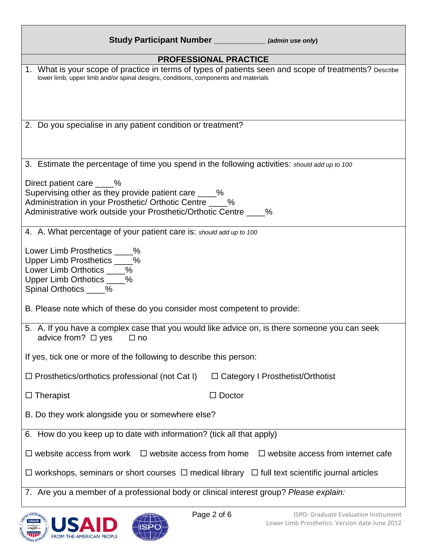| Study Participant Number _____________ (admin use only)                                                                                                                                                           |
|-------------------------------------------------------------------------------------------------------------------------------------------------------------------------------------------------------------------|
| <b>PROFESSIONAL PRACTICE</b>                                                                                                                                                                                      |
| 1. What is your scope of practice in terms of types of patients seen and scope of treatments? Describe<br>lower limb, upper limb and/or spinal designs, conditions, components and materials                      |
| 2. Do you specialise in any patient condition or treatment?                                                                                                                                                       |
| 3. Estimate the percentage of time you spend in the following activities: should add up to 100                                                                                                                    |
| Direct patient care 1.1%<br>Supervising other as they provide patient care ____%<br>Administration in your Prosthetic/ Orthotic Centre ____%<br>Administrative work outside your Prosthetic/Orthotic Centre ____% |
| 4. A. What percentage of your patient care is: should add up to 100                                                                                                                                               |
| Lower Limb Prosthetics ____%<br>Upper Limb Prosthetics ____%<br>Lower Limb Orthotics ____%<br>Upper Limb Orthotics ____%<br>Spinal Orthotics ____%                                                                |
| B. Please note which of these do you consider most competent to provide:                                                                                                                                          |
| 5. A. If you have a complex case that you would like advice on, is there someone you can seek<br>advice from? $\Box$ yes<br>⊟ no                                                                                  |
| If yes, tick one or more of the following to describe this person:                                                                                                                                                |
| $\Box$ Prosthetics/orthotics professional (not Cat I)<br>$\Box$ Category I Prosthetist/Orthotist                                                                                                                  |
| $\Box$ Doctor<br>$\Box$ Therapist                                                                                                                                                                                 |
| B. Do they work alongside you or somewhere else?                                                                                                                                                                  |
| 6. How do you keep up to date with information? (tick all that apply)                                                                                                                                             |
| $\Box$ website access from work $\Box$ website access from home<br>$\Box$ website access from internet cafe                                                                                                       |
| $\Box$ workshops, seminars or short courses $\Box$ medical library $\Box$ full text scientific journal articles                                                                                                   |
| 7. Are you a member of a professional body or clinical interest group? Please explain:                                                                                                                            |



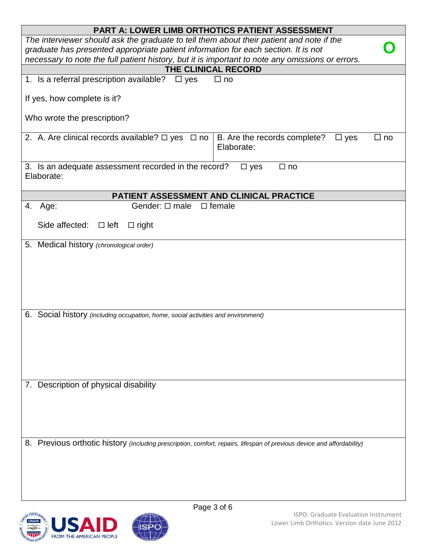| <b>PART A: LOWER LIMB ORTHOTICS PATIENT ASSESSMENT</b>                                                                                                                         |  |  |  |  |
|--------------------------------------------------------------------------------------------------------------------------------------------------------------------------------|--|--|--|--|
| The interviewer should ask the graduate to tell them about their patient and note if the<br>graduate has presented appropriate patient information for each section. It is not |  |  |  |  |
| necessary to note the full patient history, but it is important to note any omissions or errors.                                                                               |  |  |  |  |
| THE CLINICAL RECORD                                                                                                                                                            |  |  |  |  |
| 1. Is a referral prescription available? $\Box$ yes<br>$\Box$ no                                                                                                               |  |  |  |  |
|                                                                                                                                                                                |  |  |  |  |
| If yes, how complete is it?                                                                                                                                                    |  |  |  |  |
| Who wrote the prescription?                                                                                                                                                    |  |  |  |  |
| 2. A. Are clinical records available? $\Box$ yes $\Box$ no<br>B. Are the records complete?<br>$\Box$ no<br>$\Box$ yes<br>Elaborate:                                            |  |  |  |  |
| 3. Is an adequate assessment recorded in the record?<br>$\Box$ yes<br>$\Box$ no<br>Elaborate:                                                                                  |  |  |  |  |
| PATIENT ASSESSMENT AND CLINICAL PRACTICE                                                                                                                                       |  |  |  |  |
| Gender: $\Box$ male $\Box$ female<br>4. Age:                                                                                                                                   |  |  |  |  |
| Side affected: $\Box$ left $\Box$ right                                                                                                                                        |  |  |  |  |
| 5. Medical history (chronological order)                                                                                                                                       |  |  |  |  |
|                                                                                                                                                                                |  |  |  |  |
| 6. Social history (including occupation, home, social activities and environment)                                                                                              |  |  |  |  |
|                                                                                                                                                                                |  |  |  |  |
| 7. Description of physical disability                                                                                                                                          |  |  |  |  |
|                                                                                                                                                                                |  |  |  |  |
| 8. Previous orthotic history (including prescription, comfort, repairs, lifespan of previous device and affordability)                                                         |  |  |  |  |

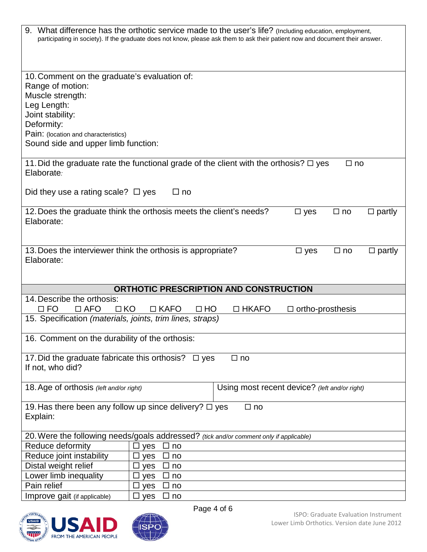| 9. What difference has the orthotic service made to the user's life? (Including education, employment,<br>participating in society). If the graduate does not know, please ask them to ask their patient now and document their answer. |
|-----------------------------------------------------------------------------------------------------------------------------------------------------------------------------------------------------------------------------------------|
| 10. Comment on the graduate's evaluation of:<br>Range of motion:<br>Muscle strength:<br>Leg Length:<br>Joint stability:<br>Deformity:<br>Pain: (location and characteristics)<br>Sound side and upper limb function:                    |
| 11. Did the graduate rate the functional grade of the client with the orthosis? $\Box$ yes<br>$\square$ no<br>Elaborate:                                                                                                                |
| Did they use a rating scale? $\Box$ yes<br>$\Box$ no                                                                                                                                                                                    |
| 12. Does the graduate think the orthosis meets the client's needs?<br>$\Box$ partly<br>$\Box$ no<br>$\square$ yes<br>Elaborate:                                                                                                         |
| 13. Does the interviewer think the orthosis is appropriate?<br>$\Box$ no<br>$\Box$ partly<br>$\Box$ yes<br>Elaborate:                                                                                                                   |
| ORTHOTIC PRESCRIPTION AND CONSTRUCTION                                                                                                                                                                                                  |
| 14. Describe the orthosis:<br>$\Box$ FO<br>$\Box$ AFO<br>$\Box$ KO<br>$\Box$ KAFO<br>$\Box$ HO<br>$\Box$ HKAFO<br>$\Box$ ortho-prosthesis<br>15. Specification (materials, joints, trim lines, straps)                                  |
| 16. Comment on the durability of the orthosis:                                                                                                                                                                                          |
|                                                                                                                                                                                                                                         |
| 17. Did the graduate fabricate this orthosis? $\Box$ yes<br>$\Box$ no<br>If not, who did?                                                                                                                                               |
| Using most recent device? (left and/or right)<br>18. Age of orthosis (left and/or right)                                                                                                                                                |
| 19. Has there been any follow up since delivery? □ yes<br>$\Box$ no<br>Explain:                                                                                                                                                         |
| 20. Were the following needs/goals addressed? (tick and/or comment only if applicable)                                                                                                                                                  |
| Reduce deformity<br>П<br>ப<br>yes<br>no                                                                                                                                                                                                 |
| Reduce joint instability<br>□<br>$\square$ yes<br>no                                                                                                                                                                                    |
| Distal weight relief<br>$\square$ yes<br>$\Box$<br>no                                                                                                                                                                                   |
| Lower limb inequality<br>□ yes<br>□<br>no                                                                                                                                                                                               |
| Pain relief<br>$\square$ yes<br>ΙI<br>no<br>Improve gait (if applicable)<br>$\square$ yes<br>$\Box$ no                                                                                                                                  |
|                                                                                                                                                                                                                                         |



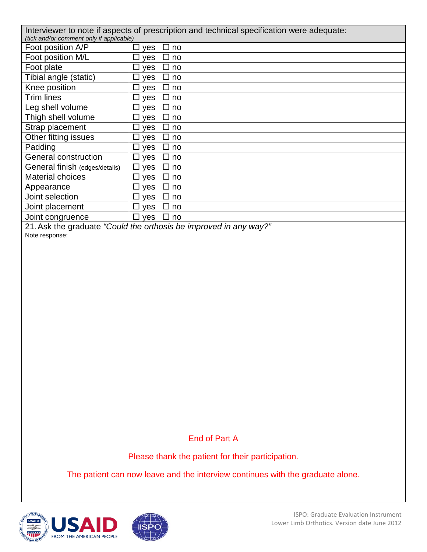|                                          | Interviewer to note if aspects of prescription and technical specification were adequate: |
|------------------------------------------|-------------------------------------------------------------------------------------------|
| (tick and/or comment only if applicable) |                                                                                           |
| Foot position A/P                        | $\Box$ yes<br>⊔ no                                                                        |
| Foot position M/L                        | $\Box$ yes<br>$\Box$ no                                                                   |
| Foot plate                               | $\Box$ yes<br>$\square$ no                                                                |
| Tibial angle (static)                    | $\Box$ yes<br>$\square$ no                                                                |
| Knee position                            | $\Box$ yes<br>$\square$ no                                                                |
| Trim lines                               | $\Box$ yes<br>$\square$ no                                                                |
| Leg shell volume                         | $\Box$ yes<br>□ no                                                                        |
| Thigh shell volume                       | $\Box$ yes<br>□ no                                                                        |
| Strap placement                          | $\Box$ yes<br>□ no                                                                        |
| Other fitting issues                     | $\Box$ yes<br>□ no                                                                        |
| Padding                                  | $\Box$ yes<br>$\Box$ no                                                                   |
| General construction                     | $\Box$ yes<br>$\square$ no                                                                |
| General finish (edges/details)           | $\Box$ yes<br>$\square$ no                                                                |
| Material choices                         | $\Box$ yes<br>$\square$ no                                                                |
| Appearance                               | $\Box$ yes<br>$\square$ no                                                                |
| Joint selection                          | $\Box$ yes<br>□ no                                                                        |
| Joint placement                          | $\Box$ yes<br>□ no                                                                        |
| Joint congruence                         | $\Box$ yes<br>⊔ no                                                                        |

21.Ask the graduate *"Could the orthosis be improved in any way?"*

Note response:

#### End of Part A

Please thank the patient for their participation.

The patient can now leave and the interview continues with the graduate alone.



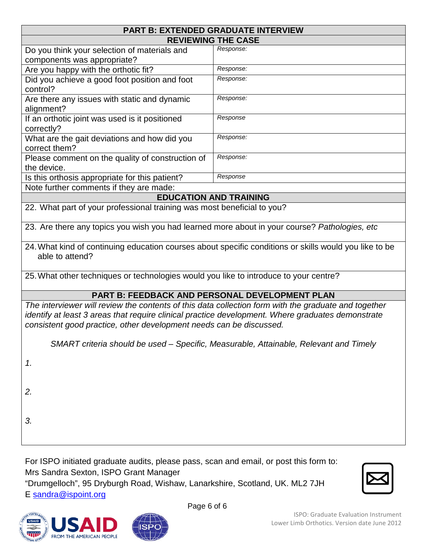|                                                                                                                                                                                                                                                                                  | <b>PART B: EXTENDED GRADUATE INTERVIEW</b>                                            |  |  |  |
|----------------------------------------------------------------------------------------------------------------------------------------------------------------------------------------------------------------------------------------------------------------------------------|---------------------------------------------------------------------------------------|--|--|--|
|                                                                                                                                                                                                                                                                                  | <b>REVIEWING THE CASE</b>                                                             |  |  |  |
| Do you think your selection of materials and<br>components was appropriate?                                                                                                                                                                                                      | Response:                                                                             |  |  |  |
| Are you happy with the orthotic fit?                                                                                                                                                                                                                                             | Response:                                                                             |  |  |  |
| Did you achieve a good foot position and foot<br>control?                                                                                                                                                                                                                        | Response:                                                                             |  |  |  |
| Are there any issues with static and dynamic<br>alignment?                                                                                                                                                                                                                       | Response:                                                                             |  |  |  |
| If an orthotic joint was used is it positioned<br>correctly?                                                                                                                                                                                                                     | Response                                                                              |  |  |  |
| What are the gait deviations and how did you<br>correct them?                                                                                                                                                                                                                    | Response:                                                                             |  |  |  |
| Please comment on the quality of construction of<br>the device.                                                                                                                                                                                                                  | Response:                                                                             |  |  |  |
| Is this orthosis appropriate for this patient?                                                                                                                                                                                                                                   | Response                                                                              |  |  |  |
| Note further comments if they are made:                                                                                                                                                                                                                                          |                                                                                       |  |  |  |
|                                                                                                                                                                                                                                                                                  | <b>EDUCATION AND TRAINING</b>                                                         |  |  |  |
| 22. What part of your professional training was most beneficial to you?                                                                                                                                                                                                          |                                                                                       |  |  |  |
| 23. Are there any topics you wish you had learned more about in your course? Pathologies, etc                                                                                                                                                                                    |                                                                                       |  |  |  |
| 24. What kind of continuing education courses about specific conditions or skills would you like to be<br>able to attend?                                                                                                                                                        |                                                                                       |  |  |  |
| 25. What other techniques or technologies would you like to introduce to your centre?                                                                                                                                                                                            |                                                                                       |  |  |  |
|                                                                                                                                                                                                                                                                                  | <b>PART B: FEEDBACK AND PERSONAL DEVELOPMENT PLAN</b>                                 |  |  |  |
| The interviewer will review the contents of this data collection form with the graduate and together<br>identify at least 3 areas that require clinical practice development. Where graduates demonstrate<br>consistent good practice, other development needs can be discussed. |                                                                                       |  |  |  |
|                                                                                                                                                                                                                                                                                  | SMART criteria should be used – Specific, Measurable, Attainable, Relevant and Timely |  |  |  |
| 1.                                                                                                                                                                                                                                                                               |                                                                                       |  |  |  |
| 2.                                                                                                                                                                                                                                                                               |                                                                                       |  |  |  |
| 3.                                                                                                                                                                                                                                                                               |                                                                                       |  |  |  |
|                                                                                                                                                                                                                                                                                  |                                                                                       |  |  |  |

For ISPO initiated graduate audits, please pass, scan and email, or post this form to: Mrs Sandra Sexton, ISPO Grant Manager "Drumgelloch", 95 Dryburgh Road, Wishaw, Lanarkshire, Scotland, UK. ML2 7JH



E [sandra@ispoint.org](mailto:sandra@ispoint.org)



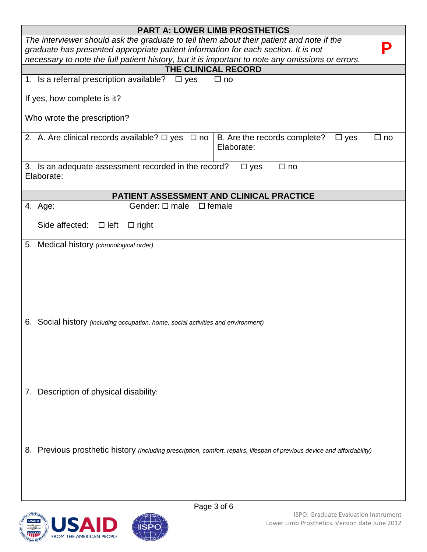| <b>PART A: LOWER LIMB PROSTHETICS</b>                                                                                                                                          |                                                                       |  |  |  |  |
|--------------------------------------------------------------------------------------------------------------------------------------------------------------------------------|-----------------------------------------------------------------------|--|--|--|--|
| The interviewer should ask the graduate to tell them about their patient and note if the<br>graduate has presented appropriate patient information for each section. It is not |                                                                       |  |  |  |  |
|                                                                                                                                                                                |                                                                       |  |  |  |  |
| necessary to note the full patient history, but it is important to note any omissions or errors.<br>THE CLINICAL RECORD                                                        |                                                                       |  |  |  |  |
| 1. Is a referral prescription available? $\Box$ yes                                                                                                                            | $\Box$ no                                                             |  |  |  |  |
|                                                                                                                                                                                |                                                                       |  |  |  |  |
| If yes, how complete is it?                                                                                                                                                    |                                                                       |  |  |  |  |
| Who wrote the prescription?                                                                                                                                                    |                                                                       |  |  |  |  |
| 2. A. Are clinical records available? $\Box$ yes $\Box$ no                                                                                                                     | B. Are the records complete?<br>$\Box$ yes<br>$\Box$ no<br>Elaborate: |  |  |  |  |
| 3. Is an adequate assessment recorded in the record?<br>Elaborate:                                                                                                             | $\square$ yes<br>$\Box$ no                                            |  |  |  |  |
|                                                                                                                                                                                |                                                                       |  |  |  |  |
| PATIENT ASSESSMENT AND CLINICAL PRACTICE<br>Gender: $\Box$ male $\Box$ female                                                                                                  |                                                                       |  |  |  |  |
| 4. Age:                                                                                                                                                                        |                                                                       |  |  |  |  |
| Side affected: $\Box$ left $\Box$ right                                                                                                                                        |                                                                       |  |  |  |  |
| 5. Medical history (chronological order)                                                                                                                                       |                                                                       |  |  |  |  |
|                                                                                                                                                                                |                                                                       |  |  |  |  |
|                                                                                                                                                                                |                                                                       |  |  |  |  |
|                                                                                                                                                                                |                                                                       |  |  |  |  |
|                                                                                                                                                                                |                                                                       |  |  |  |  |
|                                                                                                                                                                                |                                                                       |  |  |  |  |
|                                                                                                                                                                                |                                                                       |  |  |  |  |
| 6. Social history (including occupation, home, social activities and environment)                                                                                              |                                                                       |  |  |  |  |
|                                                                                                                                                                                |                                                                       |  |  |  |  |
|                                                                                                                                                                                |                                                                       |  |  |  |  |
|                                                                                                                                                                                |                                                                       |  |  |  |  |
|                                                                                                                                                                                |                                                                       |  |  |  |  |
|                                                                                                                                                                                |                                                                       |  |  |  |  |
| 7. Description of physical disability:                                                                                                                                         |                                                                       |  |  |  |  |
|                                                                                                                                                                                |                                                                       |  |  |  |  |
|                                                                                                                                                                                |                                                                       |  |  |  |  |
|                                                                                                                                                                                |                                                                       |  |  |  |  |
|                                                                                                                                                                                |                                                                       |  |  |  |  |
| 8. Previous prosthetic history (including prescription, comfort, repairs, lifespan of previous device and affordability)                                                       |                                                                       |  |  |  |  |
|                                                                                                                                                                                |                                                                       |  |  |  |  |
|                                                                                                                                                                                |                                                                       |  |  |  |  |
|                                                                                                                                                                                |                                                                       |  |  |  |  |
|                                                                                                                                                                                |                                                                       |  |  |  |  |



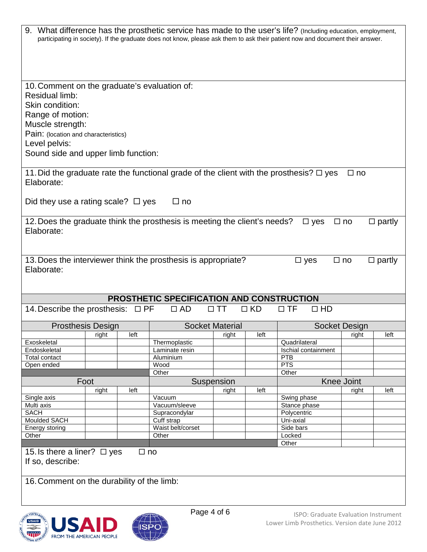|                                                       |       |           |                                                                           |                        |           | 9. What difference has the prosthetic service has made to the user's life? (Including education, employment,<br>participating in society). If the graduate does not know, please ask them to ask their patient now and document their answer. |                      |               |
|-------------------------------------------------------|-------|-----------|---------------------------------------------------------------------------|------------------------|-----------|-----------------------------------------------------------------------------------------------------------------------------------------------------------------------------------------------------------------------------------------------|----------------------|---------------|
|                                                       |       |           |                                                                           |                        |           |                                                                                                                                                                                                                                               |                      |               |
| 10. Comment on the graduate's evaluation of:          |       |           |                                                                           |                        |           |                                                                                                                                                                                                                                               |                      |               |
| Residual limb:                                        |       |           |                                                                           |                        |           |                                                                                                                                                                                                                                               |                      |               |
| Skin condition:                                       |       |           |                                                                           |                        |           |                                                                                                                                                                                                                                               |                      |               |
| Range of motion:                                      |       |           |                                                                           |                        |           |                                                                                                                                                                                                                                               |                      |               |
| Muscle strength:                                      |       |           |                                                                           |                        |           |                                                                                                                                                                                                                                               |                      |               |
| Pain: (location and characteristics)<br>Level pelvis: |       |           |                                                                           |                        |           |                                                                                                                                                                                                                                               |                      |               |
| Sound side and upper limb function:                   |       |           |                                                                           |                        |           |                                                                                                                                                                                                                                               |                      |               |
|                                                       |       |           |                                                                           |                        |           |                                                                                                                                                                                                                                               |                      |               |
| Elaborate:                                            |       |           |                                                                           |                        |           | 11. Did the graduate rate the functional grade of the client with the prosthesis? $\Box$ yes                                                                                                                                                  | $\square$ no         |               |
| Did they use a rating scale? $\Box$ yes               |       |           | $\Box$ no                                                                 |                        |           |                                                                                                                                                                                                                                               |                      |               |
|                                                       |       |           | 12. Does the graduate think the prosthesis is meeting the client's needs? |                        |           | $\square$ yes                                                                                                                                                                                                                                 | $\Box$ no            | $\Box$ partly |
| Elaborate:                                            |       |           |                                                                           |                        |           |                                                                                                                                                                                                                                               |                      |               |
|                                                       |       |           |                                                                           |                        |           |                                                                                                                                                                                                                                               |                      |               |
|                                                       |       |           |                                                                           |                        |           |                                                                                                                                                                                                                                               |                      |               |
|                                                       |       |           | 13. Does the interviewer think the prosthesis is appropriate?             |                        |           | $\square$ yes                                                                                                                                                                                                                                 | $\square$ no         | $\Box$ partly |
| Elaborate:                                            |       |           |                                                                           |                        |           |                                                                                                                                                                                                                                               |                      |               |
|                                                       |       |           |                                                                           |                        |           |                                                                                                                                                                                                                                               |                      |               |
|                                                       |       |           | PROSTHETIC SPECIFICATION AND CONSTRUCTION                                 |                        |           |                                                                                                                                                                                                                                               |                      |               |
| 14. Describe the prosthesis: $\Box$ PF                |       |           |                                                                           |                        |           |                                                                                                                                                                                                                                               |                      |               |
|                                                       |       |           |                                                                           |                        |           |                                                                                                                                                                                                                                               |                      |               |
|                                                       |       |           | $\Box$ AD                                                                 | $\Box$ TT              | $\Box$ KD | $\Box$ TF<br>$\Box$ HD                                                                                                                                                                                                                        |                      |               |
| <b>Prosthesis Design</b>                              |       |           |                                                                           | <b>Socket Material</b> |           |                                                                                                                                                                                                                                               | <b>Socket Design</b> |               |
|                                                       | right | left      |                                                                           | <u>right</u>           | left      |                                                                                                                                                                                                                                               | right                | left          |
| Exoskeletal                                           |       |           | Thermoplastic                                                             |                        |           | Quadrilateral                                                                                                                                                                                                                                 |                      |               |
| Endoskeletal                                          |       |           | Laminate resin                                                            |                        |           | Ischial containment                                                                                                                                                                                                                           |                      |               |
| <b>Total contact</b>                                  |       |           | Aluminium<br>Wood                                                         |                        |           | PTB<br>PTS                                                                                                                                                                                                                                    |                      |               |
| Open ended                                            |       |           | Other                                                                     |                        |           | Other                                                                                                                                                                                                                                         |                      |               |
|                                                       | Foot  |           |                                                                           | Suspension             |           |                                                                                                                                                                                                                                               | <b>Knee Joint</b>    |               |
|                                                       | right | left      |                                                                           | right                  | left      |                                                                                                                                                                                                                                               | right                | left          |
| Single axis                                           |       |           | Vacuum                                                                    |                        |           | Swing phase                                                                                                                                                                                                                                   |                      |               |
| Multi axis                                            |       |           | Vacuum/sleeve                                                             |                        |           | Stance phase                                                                                                                                                                                                                                  |                      |               |
| <b>SACH</b>                                           |       |           | Supracondylar                                                             |                        |           | Polycentric                                                                                                                                                                                                                                   |                      |               |
| <b>Moulded SACH</b>                                   |       |           | Cuff strap<br>Waist belt/corset                                           |                        |           | Uni-axial                                                                                                                                                                                                                                     |                      |               |
| Energy storing<br>Other                               |       |           | Other                                                                     |                        |           | Side bars<br>Locked                                                                                                                                                                                                                           |                      |               |
|                                                       |       |           |                                                                           |                        |           | Other                                                                                                                                                                                                                                         |                      |               |
| 15. Is there a liner? $\Box$ yes<br>If so, describe:  |       | $\Box$ no |                                                                           |                        |           |                                                                                                                                                                                                                                               |                      |               |
|                                                       |       |           |                                                                           |                        |           |                                                                                                                                                                                                                                               |                      |               |
| 16. Comment on the durability of the limb:            |       |           |                                                                           |                        |           |                                                                                                                                                                                                                                               |                      |               |
|                                                       |       |           |                                                                           |                        |           |                                                                                                                                                                                                                                               |                      |               |
|                                                       |       |           | Page 4 of 6                                                               |                        |           |                                                                                                                                                                                                                                               |                      |               |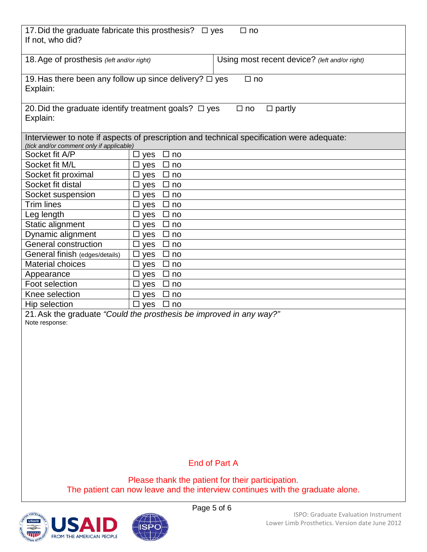| 17. Did the graduate fabricate this prosthesis? $\Box$ yes<br>$\square$ no<br>If not, who did?                                        |                                           |  |  |
|---------------------------------------------------------------------------------------------------------------------------------------|-------------------------------------------|--|--|
| 18. Age of prosthesis (left and/or right)<br>Using most recent device? (left and/or right)                                            |                                           |  |  |
| 19. Has there been any follow up since delivery? $\Box$ yes<br>$\Box$ no<br>Explain:                                                  |                                           |  |  |
| 20. Did the graduate identify treatment goals? $\Box$ yes<br>$\Box$ partly<br>$\square$ no<br>Explain:                                |                                           |  |  |
| Interviewer to note if aspects of prescription and technical specification were adequate:<br>(tick and/or comment only if applicable) |                                           |  |  |
| Socket fit A/P                                                                                                                        | $\Box$ no<br>yes<br>ப                     |  |  |
| Socket fit M/L                                                                                                                        | $\Box$<br>$\Box$ yes<br>no                |  |  |
| Socket fit proximal                                                                                                                   | yes<br>$\Box$ no<br>ப                     |  |  |
| Socket fit distal                                                                                                                     | yes<br>$\square$ no<br>ப                  |  |  |
| Socket suspension                                                                                                                     | $\Box$ yes<br>$\square$ no                |  |  |
| <b>Trim lines</b>                                                                                                                     | $\Box$ no<br>$\square$ yes                |  |  |
| Leg length                                                                                                                            | $\Box$ yes<br>$\Box$ no                   |  |  |
| Static alignment                                                                                                                      | $\square$ yes<br>$\Box$ no                |  |  |
| Dynamic alignment                                                                                                                     | $\square$ yes<br>□ no                     |  |  |
| <b>General construction</b>                                                                                                           | $\Box$ yes<br>$\Box$ no                   |  |  |
| General finish (edges/details)                                                                                                        | $\Box$ no<br>$\Box$ yes                   |  |  |
| <b>Material choices</b>                                                                                                               | $\square$ yes<br>$\Box$ no                |  |  |
| Appearance<br>Foot selection                                                                                                          | $\Box$ yes<br>□ no<br>$\Box$ no<br>$\Box$ |  |  |
| Knee selection                                                                                                                        | yes<br>$\Box$ yes<br>П<br>no              |  |  |
| Hip selection                                                                                                                         | $\Box$ yes<br>$\Box$ no                   |  |  |
| 21. Ask the graduate "Could the prosthesis be improved in any way?"                                                                   |                                           |  |  |
| Note response:                                                                                                                        |                                           |  |  |
|                                                                                                                                       |                                           |  |  |
|                                                                                                                                       |                                           |  |  |
|                                                                                                                                       |                                           |  |  |
|                                                                                                                                       |                                           |  |  |
|                                                                                                                                       |                                           |  |  |
|                                                                                                                                       |                                           |  |  |
|                                                                                                                                       |                                           |  |  |
|                                                                                                                                       |                                           |  |  |
|                                                                                                                                       |                                           |  |  |
|                                                                                                                                       |                                           |  |  |
|                                                                                                                                       |                                           |  |  |
| <b>End of Part A</b>                                                                                                                  |                                           |  |  |
| Please thank the patient for their participation.                                                                                     |                                           |  |  |
| The patient can now leave and the interview continues with the graduate alone.                                                        |                                           |  |  |



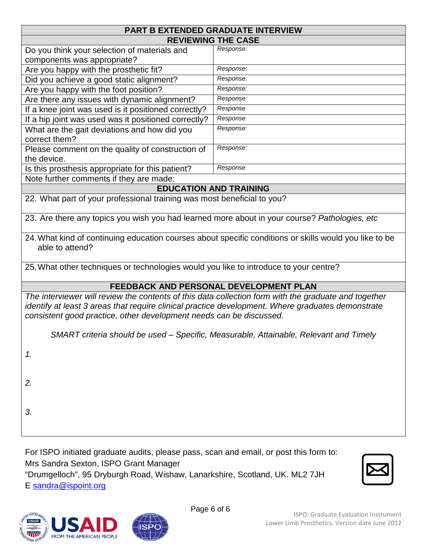| PART B EXTENDED GRADUATE INTERVIEW                                                                                                                                                                                                                                               |                               |  |  |  |
|----------------------------------------------------------------------------------------------------------------------------------------------------------------------------------------------------------------------------------------------------------------------------------|-------------------------------|--|--|--|
| <b>REVIEWING THE CASE</b>                                                                                                                                                                                                                                                        |                               |  |  |  |
| Do you think your selection of materials and                                                                                                                                                                                                                                     | Response:                     |  |  |  |
| components was appropriate?                                                                                                                                                                                                                                                      |                               |  |  |  |
| Are you happy with the prosthetic fit?                                                                                                                                                                                                                                           | Response:                     |  |  |  |
| Did you achieve a good static alignment?                                                                                                                                                                                                                                         | Response:                     |  |  |  |
| Are you happy with the foot position?                                                                                                                                                                                                                                            | Response:                     |  |  |  |
| Are there any issues with dynamic alignment?                                                                                                                                                                                                                                     | Response:                     |  |  |  |
| If a knee joint was used is it positioned correctly?                                                                                                                                                                                                                             | Response                      |  |  |  |
| If a hip joint was used was it positioned correctly?                                                                                                                                                                                                                             | Response                      |  |  |  |
| What are the gait deviations and how did you<br>correct them?                                                                                                                                                                                                                    | Response:                     |  |  |  |
| Please comment on the quality of construction of<br>the device.                                                                                                                                                                                                                  | Response:                     |  |  |  |
| Is this prosthesis appropriate for this patient?                                                                                                                                                                                                                                 | Response                      |  |  |  |
| Note further comments if they are made:                                                                                                                                                                                                                                          |                               |  |  |  |
|                                                                                                                                                                                                                                                                                  | <b>EDUCATION AND TRAINING</b> |  |  |  |
| 22. What part of your professional training was most beneficial to you?                                                                                                                                                                                                          |                               |  |  |  |
| 23. Are there any topics you wish you had learned more about in your course? Pathologies, etc                                                                                                                                                                                    |                               |  |  |  |
| 24. What kind of continuing education courses about specific conditions or skills would you like to be<br>able to attend?                                                                                                                                                        |                               |  |  |  |
| 25. What other techniques or technologies would you like to introduce to your centre?                                                                                                                                                                                            |                               |  |  |  |
| FEEDBACK AND PERSONAL DEVELOPMENT PLAN                                                                                                                                                                                                                                           |                               |  |  |  |
| The interviewer will review the contents of this data collection form with the graduate and together<br>identify at least 3 areas that require clinical practice development. Where graduates demonstrate<br>consistent good practice, other development needs can be discussed. |                               |  |  |  |
| SMART criteria should be used – Specific, Measurable, Attainable, Relevant and Timely                                                                                                                                                                                            |                               |  |  |  |
| 1.                                                                                                                                                                                                                                                                               |                               |  |  |  |
| 2.                                                                                                                                                                                                                                                                               |                               |  |  |  |
| 3.                                                                                                                                                                                                                                                                               |                               |  |  |  |

For ISPO initiated graduate audits, please pass, scan and email, or post this form to: Mrs Sandra Sexton, ISPO Grant Manager "Drumgelloch", 95 Dryburgh Road, Wishaw, Lanarkshire, Scotland, UK. ML2 7JH



E [sandra@ispoint.org](mailto:sandra@ispoint.org)

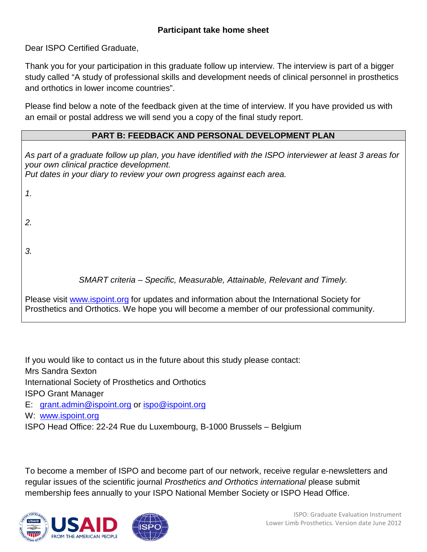#### **Participant take home sheet**

Dear ISPO Certified Graduate,

Thank you for your participation in this graduate follow up interview. The interview is part of a bigger study called "A study of professional skills and development needs of clinical personnel in prosthetics and orthotics in lower income countries".

Please find below a note of the feedback given at the time of interview. If you have provided us with an email or postal address we will send you a copy of the final study report.

#### **PART B: FEEDBACK AND PERSONAL DEVELOPMENT PLAN**

*As part of a graduate follow up plan, you have identified with the ISPO interviewer at least 3 areas for your own clinical practice development. Put dates in your diary to review your own progress against each area.* 

*1. 2. 3. SMART criteria – Specific, Measurable, Attainable, Relevant and Timely.* Please visit [www.ispoint.org](http://www.ispoint.org/) for updates and information about the International Society for

Prosthetics and Orthotics. We hope you will become a member of our professional community.

If you would like to contact us in the future about this study please contact:

Mrs Sandra Sexton

International Society of Prosthetics and Orthotics

ISPO Grant Manager

E: [grant.admin@ispoint.org](mailto:grant.admin@ispoint.org) or [ispo@ispoint.org](mailto:ispo@ispoint.org)

W: [www.ispoint.org](http://www.ispoint.org/)

ISPO Head Office: 22-24 Rue du Luxembourg, B-1000 Brussels – Belgium

To become a member of ISPO and become part of our network, receive regular e-newsletters and regular issues of the scientific journal *Prosthetics and Orthotics international* please submit membership fees annually to your ISPO National Member Society or ISPO Head Office.

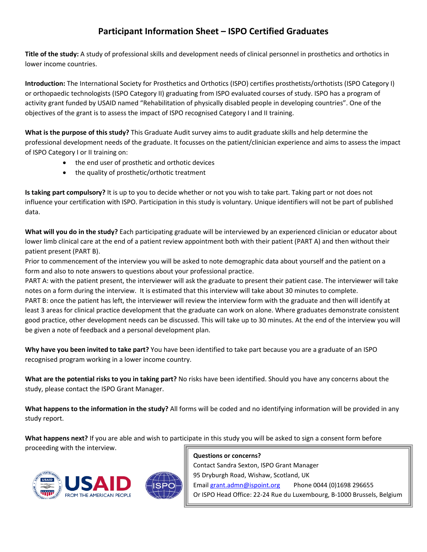#### **Participant Information Sheet – ISPO Certified Graduates**

**Title of the study:** A study of professional skills and development needs of clinical personnel in prosthetics and orthotics in lower income countries.

**Introduction:** The International Society for Prosthetics and Orthotics (ISPO) certifies prosthetists/orthotists (ISPO Category I) or orthopaedic technologists (ISPO Category II) graduating from ISPO evaluated courses of study. ISPO has a program of activity grant funded by USAID named "Rehabilitation of physically disabled people in developing countries". One of the objectives of the grant is to assess the impact of ISPO recognised Category I and II training.

**What is the purpose of this study?** This Graduate Audit survey aims to audit graduate skills and help determine the professional development needs of the graduate. It focusses on the patient/clinician experience and aims to assess the impact of ISPO Category I or II training on:

- the end user of prosthetic and orthotic devices
- the quality of prosthetic/orthotic treatment

**Is taking part compulsory?** It is up to you to decide whether or not you wish to take part. Taking part or not does not influence your certification with ISPO. Participation in this study is voluntary. Unique identifiers will not be part of published data.

**What will you do in the study?** Each participating graduate will be interviewed by an experienced clinician or educator about lower limb clinical care at the end of a patient review appointment both with their patient (PART A) and then without their patient present (PART B).

Prior to commencement of the interview you will be asked to note demographic data about yourself and the patient on a form and also to note answers to questions about your professional practice.

PART A: with the patient present, the interviewer will ask the graduate to present their patient case. The interviewer will take notes on a form during the interview. It is estimated that this interview will take about 30 minutes to complete. PART B: once the patient has left, the interviewer will review the interview form with the graduate and then will identify at least 3 areas for clinical practice development that the graduate can work on alone. Where graduates demonstrate consistent good practice, other development needs can be discussed. This will take up to 30 minutes. At the end of the interview you will be given a note of feedback and a personal development plan.

**Why have you been invited to take part?** You have been identified to take part because you are a graduate of an ISPO recognised program working in a lower income country.

**What are the potential risks to you in taking part?** No risks have been identified. Should you have any concerns about the study, please contact the ISPO Grant Manager.

**What happens to the information in the study?** All forms will be coded and no identifying information will be provided in any study report.

**What happens next?** If you are able and wish to participate in this study you will be asked to sign a consent form before proceeding with the interview.



**Questions or concerns?** Contact Sandra Sexton, ISPO Grant Manager 95 Dryburgh Road, Wishaw, Scotland, UK Emai[l grant.admn@ispoint.org](mailto:grant.admn@ispoint.org) Phone 0044 (0)1698 296655 Or ISPO Head Office: 22-24 Rue du Luxembourg, B-1000 Brussels, Belgium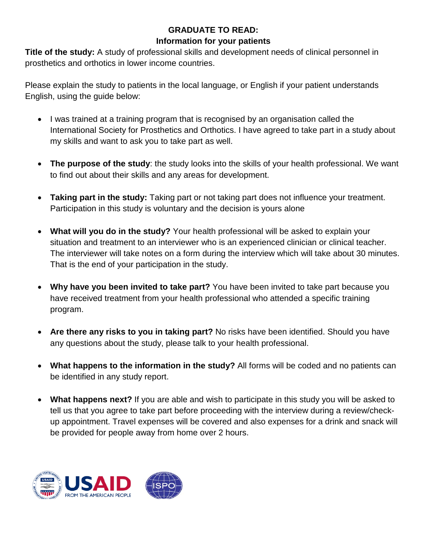#### **GRADUATE TO READ: Information for your patients**

**Title of the study:** A study of professional skills and development needs of clinical personnel in prosthetics and orthotics in lower income countries.

Please explain the study to patients in the local language, or English if your patient understands English, using the guide below:

- I was trained at a training program that is recognised by an organisation called the International Society for Prosthetics and Orthotics. I have agreed to take part in a study about my skills and want to ask you to take part as well.
- **The purpose of the study**: the study looks into the skills of your health professional. We want to find out about their skills and any areas for development.
- **Taking part in the study:** Taking part or not taking part does not influence your treatment. Participation in this study is voluntary and the decision is yours alone
- **What will you do in the study?** Your health professional will be asked to explain your situation and treatment to an interviewer who is an experienced clinician or clinical teacher. The interviewer will take notes on a form during the interview which will take about 30 minutes. That is the end of your participation in the study.
- **Why have you been invited to take part?** You have been invited to take part because you have received treatment from your health professional who attended a specific training program.
- **Are there any risks to you in taking part?** No risks have been identified. Should you have any questions about the study, please talk to your health professional.
- **What happens to the information in the study?** All forms will be coded and no patients can be identified in any study report.
- **What happens next?** If you are able and wish to participate in this study you will be asked to tell us that you agree to take part before proceeding with the interview during a review/checkup appointment. Travel expenses will be covered and also expenses for a drink and snack will be provided for people away from home over 2 hours.